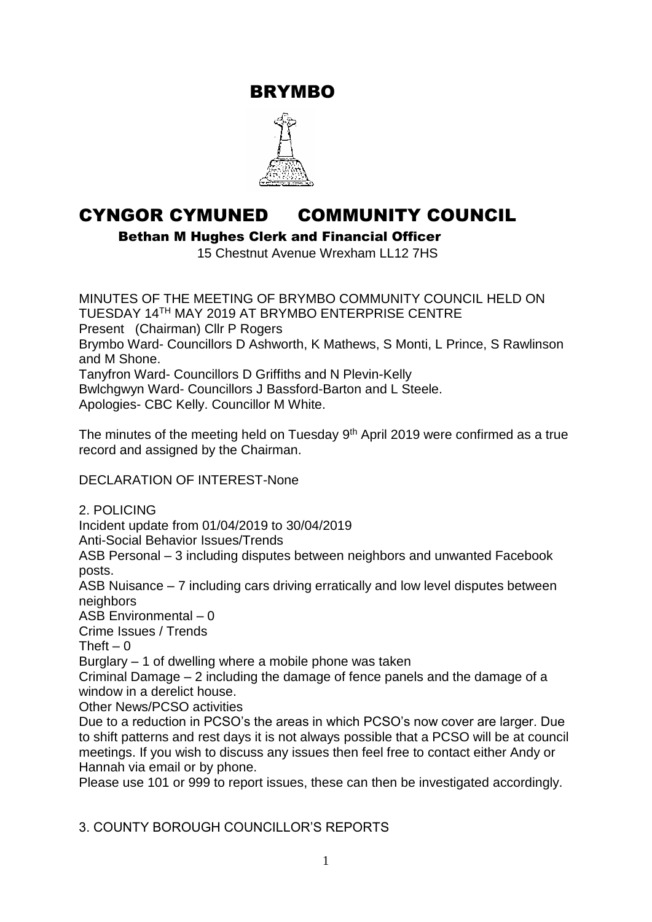BRYMBO



# CYNGOR CYMUNED COMMUNITY COUNCIL

Bethan M Hughes Clerk and Financial Officer

15 Chestnut Avenue Wrexham LL12 7HS

MINUTES OF THE MEETING OF BRYMBO COMMUNITY COUNCIL HELD ON TUESDAY 14TH MAY 2019 AT BRYMBO ENTERPRISE CENTRE Present (Chairman) Cllr P Rogers Brymbo Ward- Councillors D Ashworth, K Mathews, S Monti, L Prince, S Rawlinson and M Shone. Tanyfron Ward- Councillors D Griffiths and N Plevin-Kelly Bwlchgwyn Ward- Councillors J Bassford-Barton and L Steele. Apologies- CBC Kelly. Councillor M White.

The minutes of the meeting held on Tuesday  $9<sup>th</sup>$  April 2019 were confirmed as a true record and assigned by the Chairman.

DECLARATION OF INTEREST-None

2. POLICING

Incident update from 01/04/2019 to 30/04/2019

Anti-Social Behavior Issues/Trends

ASB Personal – 3 including disputes between neighbors and unwanted Facebook posts.

ASB Nuisance – 7 including cars driving erratically and low level disputes between neighbors

ASB Environmental – 0

Crime Issues / Trends

Theft  $-0$ 

Burglary – 1 of dwelling where a mobile phone was taken

Criminal Damage – 2 including the damage of fence panels and the damage of a window in a derelict house.

Other News/PCSO activities

Due to a reduction in PCSO's the areas in which PCSO's now cover are larger. Due to shift patterns and rest days it is not always possible that a PCSO will be at council meetings. If you wish to discuss any issues then feel free to contact either Andy or Hannah via email or by phone.

Please use 101 or 999 to report issues, these can then be investigated accordingly.

3. COUNTY BOROUGH COUNCILLOR'S REPORTS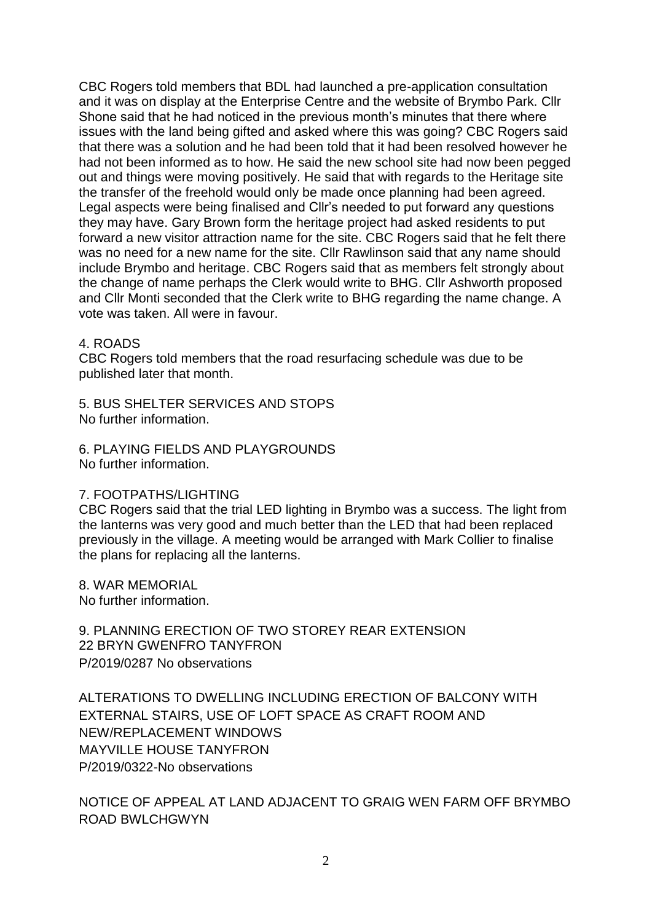CBC Rogers told members that BDL had launched a pre-application consultation and it was on display at the Enterprise Centre and the website of Brymbo Park. Cllr Shone said that he had noticed in the previous month's minutes that there where issues with the land being gifted and asked where this was going? CBC Rogers said that there was a solution and he had been told that it had been resolved however he had not been informed as to how. He said the new school site had now been pegged out and things were moving positively. He said that with regards to the Heritage site the transfer of the freehold would only be made once planning had been agreed. Legal aspects were being finalised and Cllr's needed to put forward any questions they may have. Gary Brown form the heritage project had asked residents to put forward a new visitor attraction name for the site. CBC Rogers said that he felt there was no need for a new name for the site. Cllr Rawlinson said that any name should include Brymbo and heritage. CBC Rogers said that as members felt strongly about the change of name perhaps the Clerk would write to BHG. Cllr Ashworth proposed and Cllr Monti seconded that the Clerk write to BHG regarding the name change. A vote was taken. All were in favour.

#### 4. ROADS

CBC Rogers told members that the road resurfacing schedule was due to be published later that month.

5. BUS SHELTER SERVICES AND STOPS No further information.

6. PLAYING FIELDS AND PLAYGROUNDS No further information.

#### 7. FOOTPATHS/LIGHTING

CBC Rogers said that the trial LED lighting in Brymbo was a success. The light from the lanterns was very good and much better than the LED that had been replaced previously in the village. A meeting would be arranged with Mark Collier to finalise the plans for replacing all the lanterns.

8. WAR MEMORIAL No further information.

9. PLANNING ERECTION OF TWO STOREY REAR EXTENSION 22 BRYN GWENFRO TANYFRON P/2019/0287 No observations

ALTERATIONS TO DWELLING INCLUDING ERECTION OF BALCONY WITH EXTERNAL STAIRS, USE OF LOFT SPACE AS CRAFT ROOM AND NEW/REPLACEMENT WINDOWS MAYVILLE HOUSE TANYFRON P/2019/0322-No observations

NOTICE OF APPEAL AT LAND ADJACENT TO GRAIG WEN FARM OFF BRYMBO ROAD BWLCHGWYN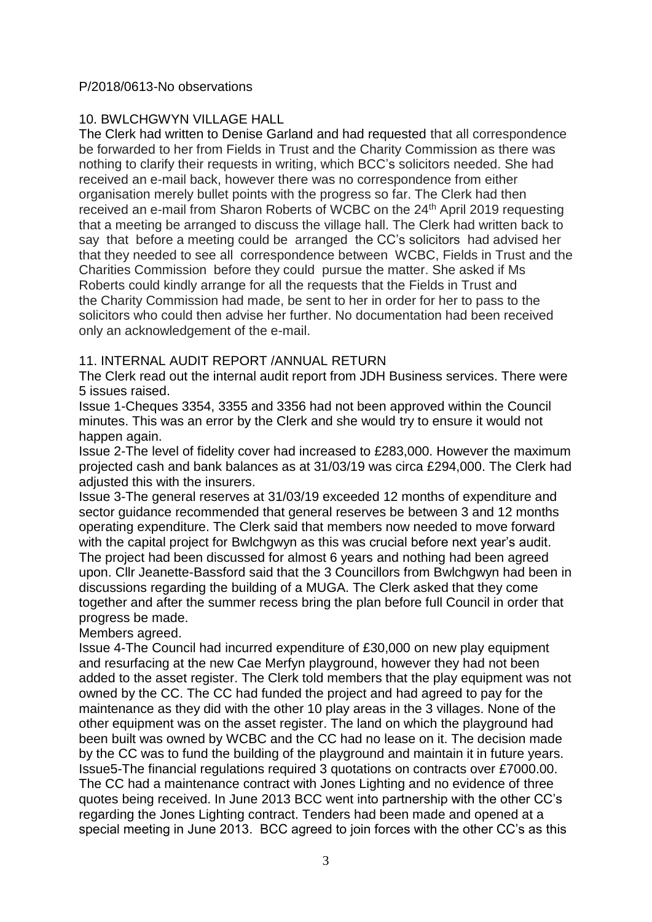#### P/2018/0613-No observations

## 10. BWLCHGWYN VILLAGE HALL

The Clerk had written to Denise Garland and had requested that all correspondence be forwarded to her from Fields in Trust and the Charity Commission as there was nothing to clarify their requests in writing, which BCC's solicitors needed. She had received an e-mail back, however there was no correspondence from either organisation merely bullet points with the progress so far. The Clerk had then received an e-mail from Sharon Roberts of WCBC on the 24<sup>th</sup> April 2019 requesting that a meeting be arranged to discuss the village hall. The Clerk had written back to say that before a meeting could be arranged the CC's solicitors had advised her that they needed to see all correspondence between WCBC, Fields in Trust and the Charities Commission before they could pursue the matter. She asked if Ms Roberts could kindly arrange for all the requests that the Fields in Trust and the Charity Commission had made, be sent to her in order for her to pass to the solicitors who could then advise her further. No documentation had been received only an acknowledgement of the e-mail.

### 11. INTERNAL AUDIT REPORT /ANNUAL RETURN

The Clerk read out the internal audit report from JDH Business services. There were 5 issues raised.

Issue 1-Cheques 3354, 3355 and 3356 had not been approved within the Council minutes. This was an error by the Clerk and she would try to ensure it would not happen again.

Issue 2-The level of fidelity cover had increased to £283,000. However the maximum projected cash and bank balances as at 31/03/19 was circa £294,000. The Clerk had adjusted this with the insurers.

Issue 3-The general reserves at 31/03/19 exceeded 12 months of expenditure and sector guidance recommended that general reserves be between 3 and 12 months operating expenditure. The Clerk said that members now needed to move forward with the capital project for Bwlchgwyn as this was crucial before next year's audit. The project had been discussed for almost 6 years and nothing had been agreed upon. Cllr Jeanette-Bassford said that the 3 Councillors from Bwlchgwyn had been in discussions regarding the building of a MUGA. The Clerk asked that they come together and after the summer recess bring the plan before full Council in order that progress be made.

#### Members agreed.

Issue 4-The Council had incurred expenditure of £30,000 on new play equipment and resurfacing at the new Cae Merfyn playground, however they had not been added to the asset register. The Clerk told members that the play equipment was not owned by the CC. The CC had funded the project and had agreed to pay for the maintenance as they did with the other 10 play areas in the 3 villages. None of the other equipment was on the asset register. The land on which the playground had been built was owned by WCBC and the CC had no lease on it. The decision made by the CC was to fund the building of the playground and maintain it in future years. Issue5-The financial regulations required 3 quotations on contracts over £7000.00. The CC had a maintenance contract with Jones Lighting and no evidence of three quotes being received. In June 2013 BCC went into partnership with the other CC's regarding the Jones Lighting contract. Tenders had been made and opened at a special meeting in June 2013. BCC agreed to join forces with the other CC's as this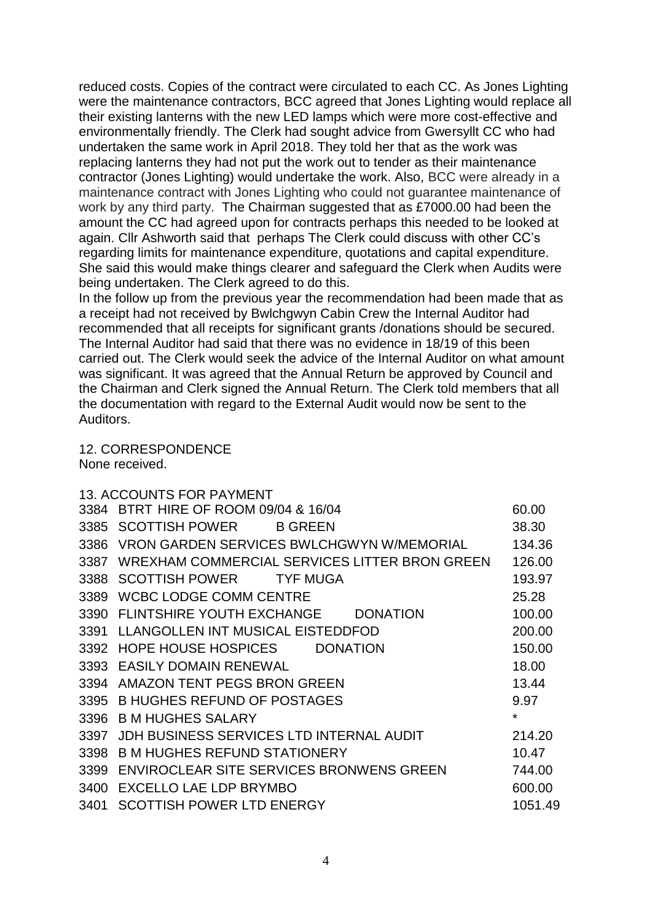reduced costs. Copies of the contract were circulated to each CC. As Jones Lighting were the maintenance contractors, BCC agreed that Jones Lighting would replace all their existing lanterns with the new LED lamps which were more cost-effective and environmentally friendly. The Clerk had sought advice from Gwersyllt CC who had undertaken the same work in April 2018. They told her that as the work was replacing lanterns they had not put the work out to tender as their maintenance contractor (Jones Lighting) would undertake the work. Also, BCC were already in a maintenance contract with Jones Lighting who could not guarantee maintenance of work by any third party. The Chairman suggested that as £7000.00 had been the amount the CC had agreed upon for contracts perhaps this needed to be looked at again. Cllr Ashworth said that perhaps The Clerk could discuss with other CC's regarding limits for maintenance expenditure, quotations and capital expenditure. She said this would make things clearer and safeguard the Clerk when Audits were being undertaken. The Clerk agreed to do this.

In the follow up from the previous year the recommendation had been made that as a receipt had not received by Bwlchgwyn Cabin Crew the Internal Auditor had recommended that all receipts for significant grants /donations should be secured. The Internal Auditor had said that there was no evidence in 18/19 of this been carried out. The Clerk would seek the advice of the Internal Auditor on what amount was significant. It was agreed that the Annual Return be approved by Council and the Chairman and Clerk signed the Annual Return. The Clerk told members that all the documentation with regard to the External Audit would now be sent to the Auditors.

12. CORRESPONDENCE

None received.

|      | <b>13. ACCOUNTS FOR PAYMENT</b>               |         |
|------|-----------------------------------------------|---------|
|      | 3384 BTRT HIRE OF ROOM 09/04 & 16/04          | 60.00   |
| 3385 | <b>SCOTTISH POWER B GREEN</b>                 | 38.30   |
| 3386 | VRON GARDEN SERVICES BWLCHGWYN W/MEMORIAL     | 134.36  |
| 3387 | WREXHAM COMMERCIAL SERVICES LITTER BRON GREEN | 126.00  |
| 3388 | SCOTTISH POWER TYF MUGA                       | 193.97  |
| 3389 | <b>WCBC LODGE COMM CENTRE</b>                 | 25.28   |
| 3390 | FLINTSHIRE YOUTH EXCHANGE DONATION            | 100.00  |
| 3391 | LLANGOLLEN INT MUSICAL EISTEDDFOD             | 200.00  |
| 3392 | HOPE HOUSE HOSPICES DONATION                  | 150.00  |
| 3393 | <b>EASILY DOMAIN RENEWAL</b>                  | 18.00   |
| 3394 | AMAZON TENT PEGS BRON GREEN                   | 13.44   |
| 3395 | <b>B HUGHES REFUND OF POSTAGES</b>            | 9.97    |
| 3396 | <b>B M HUGHES SALARY</b>                      | $\star$ |
| 3397 | JDH BUSINESS SERVICES LTD INTERNAL AUDIT      | 214.20  |
| 3398 | <b>B M HUGHES REFUND STATIONERY</b>           | 10.47   |
| 3399 | ENVIROCLEAR SITE SERVICES BRONWENS GREEN      | 744.00  |
| 3400 | EXCELLO LAE LDP BRYMBO                        | 600.00  |
| 3401 | <b>SCOTTISH POWER LTD ENERGY</b>              | 1051.49 |